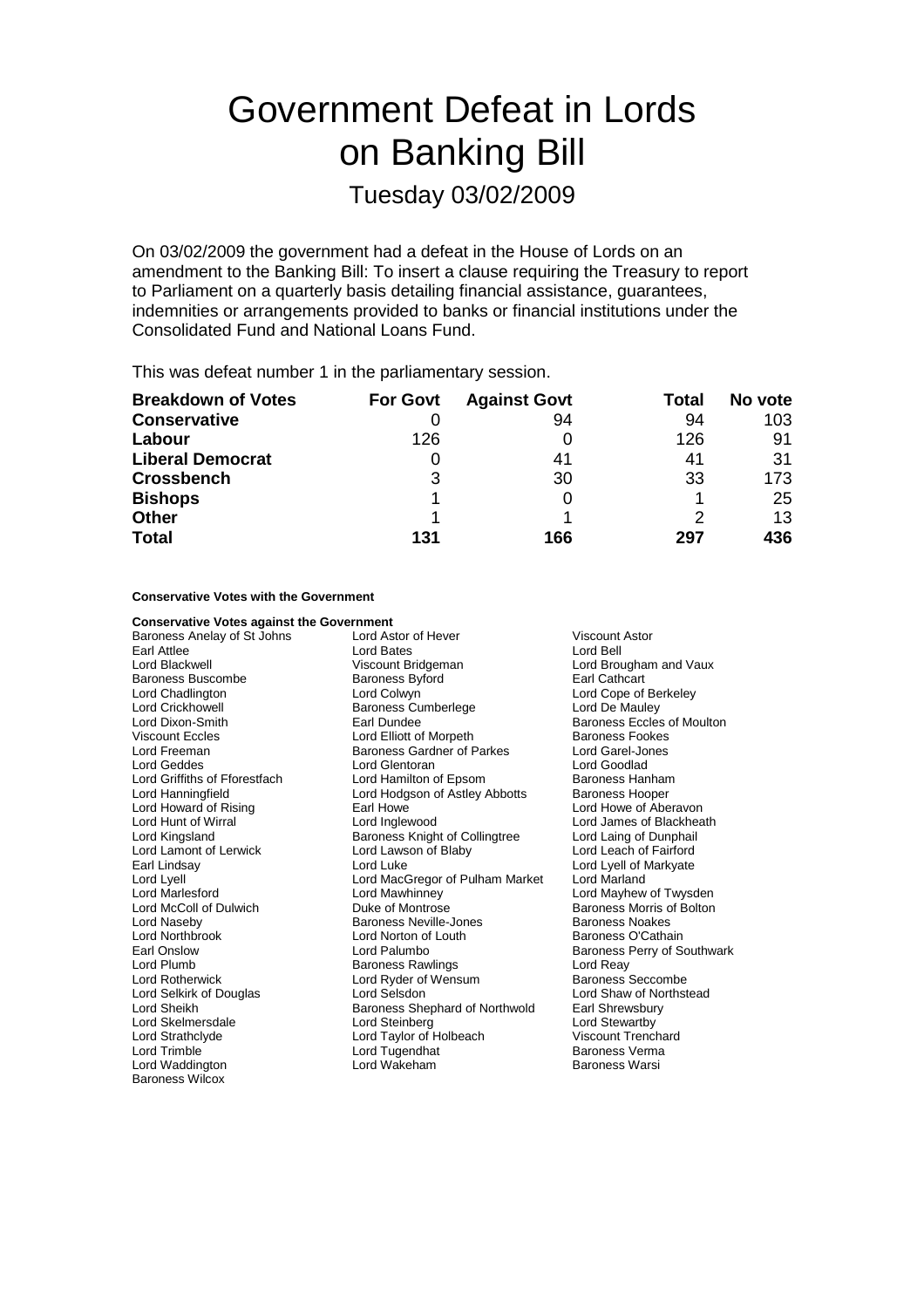# Government Defeat in Lords on Banking Bill

Tuesday 03/02/2009

On 03/02/2009 the government had a defeat in the House of Lords on an amendment to the Banking Bill: To insert a clause requiring the Treasury to report to Parliament on a quarterly basis detailing financial assistance, guarantees, indemnities or arrangements provided to banks or financial institutions under the Consolidated Fund and National Loans Fund.

This was defeat number 1 in the parliamentary session.

| <b>Breakdown of Votes</b> | <b>For Govt</b> | <b>Against Govt</b> | Total | No vote |
|---------------------------|-----------------|---------------------|-------|---------|
| <b>Conservative</b>       |                 | 94                  | 94    | 103     |
| Labour                    | 126             |                     | 126   | 91      |
| <b>Liberal Democrat</b>   |                 | 41                  | 41    | 31      |
| <b>Crossbench</b>         | 3               | 30                  | 33    | 173     |
| <b>Bishops</b>            |                 | 0                   |       | 25      |
| <b>Other</b>              |                 |                     |       | 13      |
| <b>Total</b>              | 131             | 166                 | 297   | 436     |

**Conservative Votes with the Government**

Baroness Wilcox

| <b>Conservative Votes against the Government</b> |                                       |                                   |  |
|--------------------------------------------------|---------------------------------------|-----------------------------------|--|
| Baroness Anelay of St Johns                      | Lord Astor of Hever<br>Viscount Astor |                                   |  |
| Earl Attlee                                      | <b>Lord Bates</b>                     | Lord Bell                         |  |
| Lord Blackwell                                   | Viscount Bridgeman                    | Lord Brougham and Vaux            |  |
| Baroness Buscombe                                | <b>Baroness Byford</b>                | Earl Cathcart                     |  |
| Lord Chadlington                                 | Lord Colwyn                           | Lord Cope of Berkeley             |  |
| Lord Crickhowell                                 | Baroness Cumberlege<br>Lord De Mauley |                                   |  |
| Lord Dixon-Smith                                 | Earl Dundee                           | <b>Baroness Eccles of Moulton</b> |  |
| <b>Viscount Eccles</b>                           | Lord Elliott of Morpeth               | <b>Baroness Fookes</b>            |  |
| Lord Freeman                                     | <b>Baroness Gardner of Parkes</b>     | <b>Lord Garel-Jones</b>           |  |
| Lord Geddes                                      | Lord Glentoran                        | Lord Goodlad                      |  |
| Lord Griffiths of Fforestfach                    | Lord Hamilton of Epsom                | Baroness Hanham                   |  |
| Lord Hanningfield                                | Lord Hodgson of Astley Abbotts        | <b>Baroness Hooper</b>            |  |
| Lord Howard of Rising                            | Earl Howe                             | Lord Howe of Aberavon             |  |
| Lord Hunt of Wirral                              | Lord Inglewood                        | Lord James of Blackheath          |  |
| Lord Kingsland                                   | Baroness Knight of Collingtree        | Lord Laing of Dunphail            |  |
| Lord Lamont of Lerwick                           | Lord Lawson of Blaby                  | Lord Leach of Fairford            |  |
| Earl Lindsay                                     | Lord Luke                             | Lord Lyell of Markyate            |  |
| Lord Lyell                                       | Lord MacGregor of Pulham Market       | Lord Marland                      |  |
| Lord Marlesford                                  | Lord Mawhinney                        | Lord Mayhew of Twysden            |  |
| Lord McColl of Dulwich                           | Duke of Montrose                      | <b>Baroness Morris of Bolton</b>  |  |
| Lord Naseby                                      | Baroness Neville-Jones                | Baroness Noakes                   |  |
| Lord Northbrook                                  | Lord Norton of Louth                  | Baroness O'Cathain                |  |
| Earl Onslow                                      | Lord Palumbo                          | Baroness Perry of Southwark       |  |
| Lord Plumb                                       | <b>Baroness Rawlings</b>              | Lord Reay                         |  |
| <b>Lord Rotherwick</b>                           | Lord Ryder of Wensum                  | <b>Baroness Seccombe</b>          |  |
| Lord Selkirk of Douglas                          | Lord Selsdon                          | Lord Shaw of Northstead           |  |
| Lord Sheikh                                      | Baroness Shephard of Northwold        | Earl Shrewsbury                   |  |
| Lord Skelmersdale                                | Lord Steinberg                        | Lord Stewartby                    |  |
| Lord Strathclyde                                 | Lord Taylor of Holbeach               | <b>Viscount Trenchard</b>         |  |
| Lord Trimble                                     | Lord Tugendhat                        | Baroness Verma                    |  |
| Lord Waddington                                  | Lord Wakeham                          | Baroness Warsi                    |  |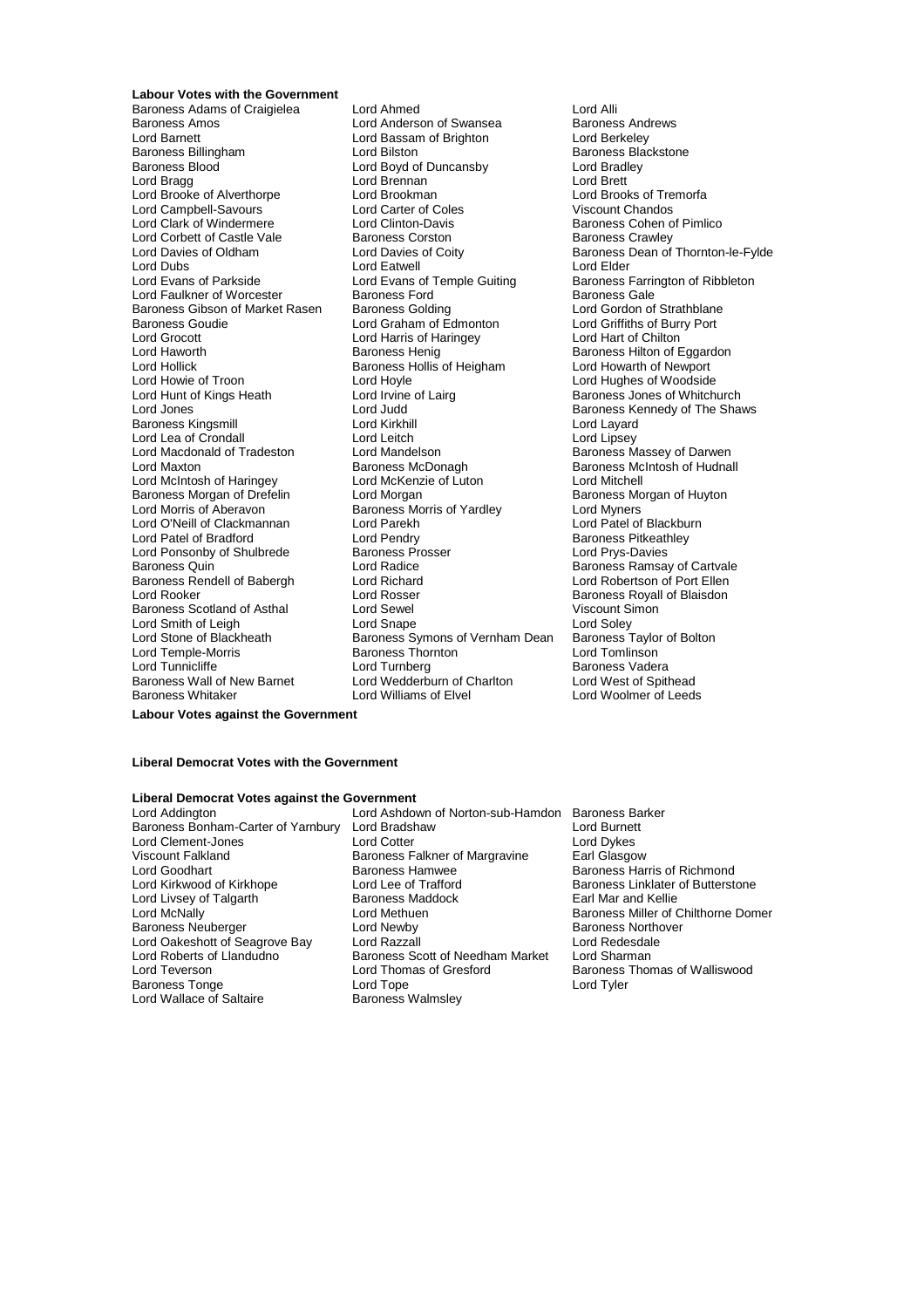**Labour Votes with the Government** Lord Barnett Lord Bassam of Brighton<br>
Baroness Billingham
Lord Bilston Lord Campbell-Savours Lord Carter of Cole<br>
Lord Clark of Windermere<br>
Lord Clinton-Davis Lord Corbett of Castle Vale Baroness Corston<br>
Lord Davies of Oldham<br>
Lord Davies of Coity Lord Dubs<br>
Lord Evans of Parkside<br>
Lord Evans of Parkside<br>
Lord Evans of Temple Guiting Lord Grocott<br>
Lord Grocott<br>
Lord Haworth 
Baroness Henig<br>
Baroness Henig Lord Hollick Baroness Hollis of Heigham<br>
Lord Howie of Troon<br>
Lord Hoyle Lord Lea of Crondall<br>
Lord Macdonald of Tradeston Lord Mandelson Lord McIntosh of Haringey Lord McKenz<br>Baroness Morgan of Drefelin Lord Morgan Lord Patel of Bradford **Lord Pendry<br>
Lord Ponsonby of Shulbrede** Baroness Prosser Baroness Rendell of Babergh

Baroness Adams of Craigielea Lord Ahmed<br>
Baroness Amos Craigielea Lord Anderson of Swansea Baroness Andrews Lord Anderson of Swansea Baroness And<br>
Lord Bassam of Brighton<br>
Lord Berkeley **Baroness Billingham Lord Bilston Baroness Backstone**<br>Baroness Blood Blood Baroness Blood Baroness Blood Bradley<br>Lord Bradley Lord Boyd of Duncansby Lord Bradl<br>
Lord Brennan Lord Brett Lord Bragg Lord Brennan Lord Brennan Lord Brett<br>
Lord Brooke of Alverthorpe Lord Brookman Lord Brooks of Tremorfa Lord Brooke of Alverthorpe Lord Brookman Lord Brooks of Tremorfacture Lord Brooks of Tremorfacture Changes Lord Carter of Coles Lord Corbett of Castle Vale<br>
Lord Davies of Oldham Lord Davies of Coity<br>
Lord Eatwell
Lord Eatwell
Lord Exameter
Lord Edger
Lord Edger
Lord Edger
Lord Edger
Lord Edger
Lord Edger
Lord Edger
Lord Edger
Lord Edger
Lord Edger Lord Evans of Temple Guiting Baroness Farrington of Ribbleton<br>Baroness Ford Baroness Gale Lord Faulkner of Worcester Baroness Ford Corporation of Baroness Gale<br>Baroness Gibson of Market Rasen Baroness Golding Corporation Corporation of Strathblane Baroness Gibson of Market Rasen Baroness Golding Lord Gordon of Strathblane<br>Baroness Goudie Lord Graham of Edmonton Lord Griffiths of Burry Port Baroness Goudie Lord Graham of Edmonton Lord Griffiths of Burry Port Control Control Lord Graham Control Lord Harris of Haringev Lord Harris Port Lord Graham Chilton Lord Haworth **Baroness Henig** Baroness Henig Baroness Hilton of Eggardon<br>
Baroness Hollis of Heigham Lord Howarth of Newport Lord Hoyle **Lord Hughes of Woodside**<br>
Lord Irvine of Lairg<br>
Baroness Jones of Whitch Lord Hunt of Kings Heath Lord Irvine of Lairg Baroness Jones of Whitchurch<br>
Lord Jones Cord Judd Baroness Kennedy of The Sha Lord Judd **Baroness Kennedy of The Shaws**<br>
Lord Kirkhill **Baroness Kennedy of The Shaws** Baroness Kingsmill Lord Kirkhill Lord Layard Lord Macdonald of Tradeston Lord Mandelson **Baroness Massey of Darwen**<br>Lord Maxton Baroness McDonagh Baroness McDonagh Baroness McIntosh of Hudnal Baroness McDonagh Baroness McIntosh of Hudnall<br>
Lord McKenzie of Luton Lord Mitchell Lord Morris of Aberavon Baroness Morris of Yardley Lord Myners Lord O'Neill of Clackmannan Lord Parekh Lord Patel of Blackburn Cord Patel of Blackburn Lord Patel of Blackburn<br>
Lord Patel of Bradford Lord Pendry Cord Pendry Baroness Pitkeathley Lord Ponsonby of Shulbrede Baroness Prosser Lord Prys-Davies Lord Radice **Baroness Ramsay of Cartvale**<br>
Lord Richard **Baroness Ramsay of Port Ellen** Lord Rooker **Lord Rosser** Communication Communication Communication Research Rosser Baroness Royall of Blaisdon Baroness Scotland of Asthal Lord Sewel **Lord Sexual Communist Communist Communist Communist Communist Communist Communist Communist Communist Communist Communist Communist Communist Communist Communist Communist Communist** Lord Smith of Leigh **Lord Shape** Lord Soley Lord Soley<br>
Lord Stone of Blackheath **Baroness Symons of Vernham Dean** Baroness Taylor of Bolton Baroness Symons of Vernham Dean Lord Temple-Morris **Communist Communist Communist Communist Communist Communist Communist Communist Communist Communist Communist Communist Communist Communist Communist Communist Communist Communist Communist Communist Co** Lord Tunnicliffe Lord Turnberg Lord Turnberg<br>Baroness Wall of New Barnet Lord Wedderburn of Charlton Lord West of Spithead Lord Wedderburn of Charlton<br>Lord Williams of Elvel Baroness Whitaker Lord Williams of Elvel Lord Woolmer of Leeds

Baroness Cohen of Pimlico Baroness Morgan of Huyton

**Labour Votes against the Government**

#### **Liberal Democrat Votes with the Government**

### **Liberal Democrat Votes against the Government**

Lord Livsey of Talgarth Baroness Maddor Baroness Maddor<br>Lord McNally Baroness Maddor Lord Methuen Lord Wallace of Saltaire

Lord Ashdown of Norton-sub-Hamdon Baroness Barker Baroness Bonham-Carter of Yarnbury Lord Bradshaw Lord Burnett Lord Clement-Jones Lord Cotter Lord Cotter Lord Dykes<br>
Viscount Falkland Clement Baroness Falkner of Margravine Earl Glasgow Baroness Falkner of Margravine Lord Goodhart **Baroness Hamwee** Baroness Hamwee Baroness Harris of Richmond<br>Lord Kirkwood of Kirkhope **Baroness Linklater of Butterstoness** Linklater of Buttersto Lord Lee of Trafford<br>
Baroness Maddock **Baroness** Linklater of Butterstone<br>
Earl Mar and Kellie Baroness Neuberger Lord Newby Baroness Northover Lord Oakeshott of Seagrove Bay Lord Razzall **Lord React Lord Redesdal**<br>Lord Roberts of Llandudno **Baroness Scott of Needham Market** Lord Sharman Baroness Scott of Needham Market<br>Lord Thomas of Gresford Lord Teverson **Lord Thomas of Gresford** Baroness Thomas of Walliswood Baroness Tonge decrees the Lord Tope developed the Lord Tyler<br>
Lord Wallace of Saltaire decrees Baroness Walmsley

**Baroness Miller of Chilthorne Domer**